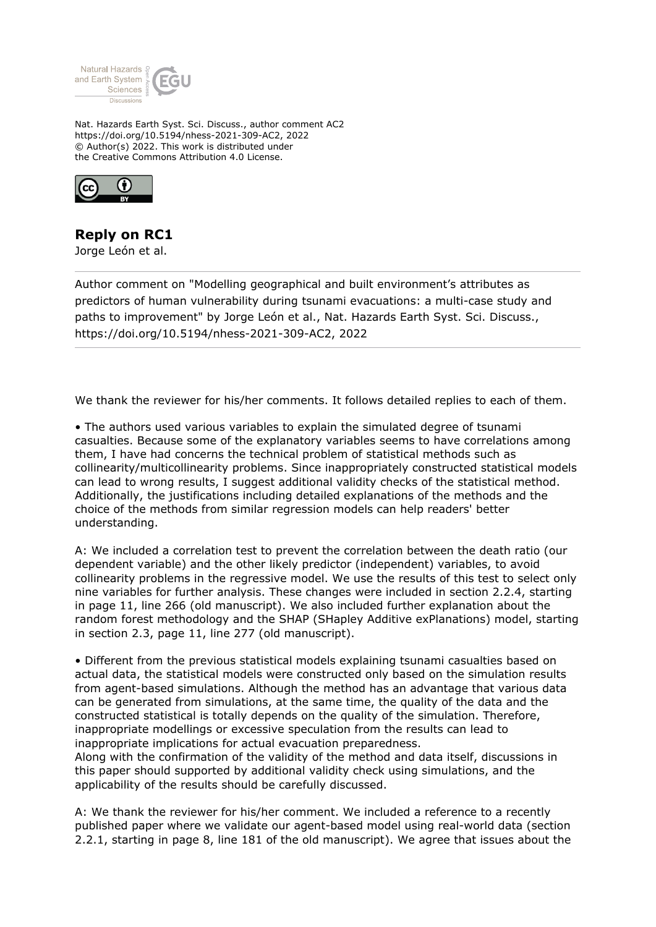

Nat. Hazards Earth Syst. Sci. Discuss., author comment AC2 https://doi.org/10.5194/nhess-2021-309-AC2, 2022 © Author(s) 2022. This work is distributed under the Creative Commons Attribution 4.0 License.



## **Reply on RC1**

Jorge León et al.

Author comment on "Modelling geographical and built environment's attributes as predictors of human vulnerability during tsunami evacuations: a multi-case study and paths to improvement" by Jorge León et al., Nat. Hazards Earth Syst. Sci. Discuss., https://doi.org/10.5194/nhess-2021-309-AC2, 2022

We thank the reviewer for his/her comments. It follows detailed replies to each of them.

• The authors used various variables to explain the simulated degree of tsunami casualties. Because some of the explanatory variables seems to have correlations among them, I have had concerns the technical problem of statistical methods such as collinearity/multicollinearity problems. Since inappropriately constructed statistical models can lead to wrong results, I suggest additional validity checks of the statistical method. Additionally, the justifications including detailed explanations of the methods and the choice of the methods from similar regression models can help readers' better understanding.

A: We included a correlation test to prevent the correlation between the death ratio (our dependent variable) and the other likely predictor (independent) variables, to avoid collinearity problems in the regressive model. We use the results of this test to select only nine variables for further analysis. These changes were included in section 2.2.4, starting in page 11, line 266 (old manuscript). We also included further explanation about the random forest methodology and the SHAP (SHapley Additive exPlanations) model, starting in section 2.3, page 11, line 277 (old manuscript).

• Different from the previous statistical models explaining tsunami casualties based on actual data, the statistical models were constructed only based on the simulation results from agent-based simulations. Although the method has an advantage that various data can be generated from simulations, at the same time, the quality of the data and the constructed statistical is totally depends on the quality of the simulation. Therefore, inappropriate modellings or excessive speculation from the results can lead to inappropriate implications for actual evacuation preparedness.

Along with the confirmation of the validity of the method and data itself, discussions in this paper should supported by additional validity check using simulations, and the applicability of the results should be carefully discussed.

A: We thank the reviewer for his/her comment. We included a reference to a recently published paper where we validate our agent-based model using real-world data (section 2.2.1, starting in page 8, line 181 of the old manuscript). We agree that issues about the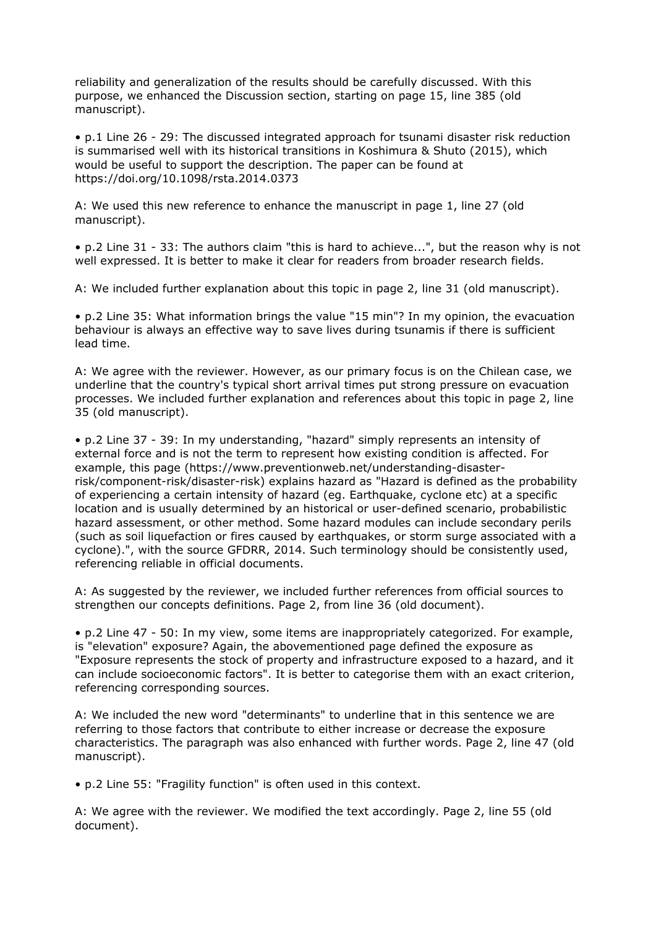reliability and generalization of the results should be carefully discussed. With this purpose, we enhanced the Discussion section, starting on page 15, line 385 (old manuscript).

• p.1 Line 26 - 29: The discussed integrated approach for tsunami disaster risk reduction is summarised well with its historical transitions in Koshimura & Shuto (2015), which would be useful to support the description. The paper can be found at https://doi.org/10.1098/rsta.2014.0373

A: We used this new reference to enhance the manuscript in page 1, line 27 (old manuscript).

• p.2 Line 31 - 33: The authors claim "this is hard to achieve...", but the reason why is not well expressed. It is better to make it clear for readers from broader research fields.

A: We included further explanation about this topic in page 2, line 31 (old manuscript).

• p.2 Line 35: What information brings the value "15 min"? In my opinion, the evacuation behaviour is always an effective way to save lives during tsunamis if there is sufficient lead time.

A: We agree with the reviewer. However, as our primary focus is on the Chilean case, we underline that the country's typical short arrival times put strong pressure on evacuation processes. We included further explanation and references about this topic in page 2, line 35 (old manuscript).

• p.2 Line 37 - 39: In my understanding, "hazard" simply represents an intensity of external force and is not the term to represent how existing condition is affected. For example, this page (https://www.preventionweb.net/understanding-disasterrisk/component-risk/disaster-risk) explains hazard as "Hazard is defined as the probability of experiencing a certain intensity of hazard (eg. Earthquake, cyclone etc) at a specific location and is usually determined by an historical or user-defined scenario, probabilistic hazard assessment, or other method. Some hazard modules can include secondary perils (such as soil liquefaction or fires caused by earthquakes, or storm surge associated with a cyclone).", with the source GFDRR, 2014. Such terminology should be consistently used, referencing reliable in official documents.

A: As suggested by the reviewer, we included further references from official sources to strengthen our concepts definitions. Page 2, from line 36 (old document).

• p.2 Line 47 - 50: In my view, some items are inappropriately categorized. For example, is "elevation" exposure? Again, the abovementioned page defined the exposure as "Exposure represents the stock of property and infrastructure exposed to a hazard, and it can include socioeconomic factors". It is better to categorise them with an exact criterion, referencing corresponding sources.

A: We included the new word "determinants" to underline that in this sentence we are referring to those factors that contribute to either increase or decrease the exposure characteristics. The paragraph was also enhanced with further words. Page 2, line 47 (old manuscript).

• p.2 Line 55: "Fragility function" is often used in this context.

A: We agree with the reviewer. We modified the text accordingly. Page 2, line 55 (old document).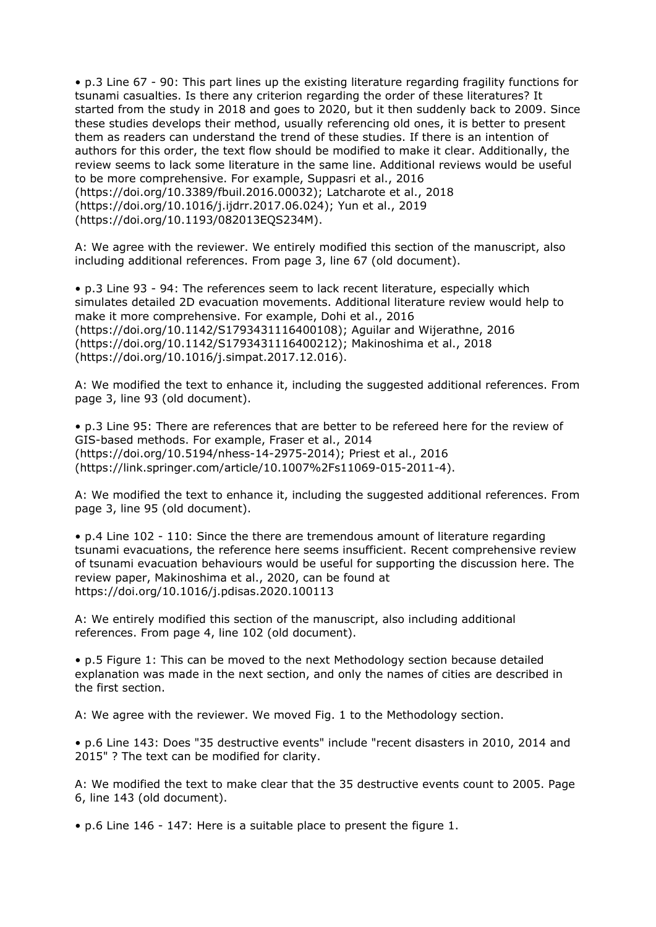• p.3 Line 67 - 90: This part lines up the existing literature regarding fragility functions for tsunami casualties. Is there any criterion regarding the order of these literatures? It started from the study in 2018 and goes to 2020, but it then suddenly back to 2009. Since these studies develops their method, usually referencing old ones, it is better to present them as readers can understand the trend of these studies. If there is an intention of authors for this order, the text flow should be modified to make it clear. Additionally, the review seems to lack some literature in the same line. Additional reviews would be useful to be more comprehensive. For example, Suppasri et al., 2016 (https://doi.org/10.3389/fbuil.2016.00032); Latcharote et al., 2018 (https://doi.org/10.1016/j.ijdrr.2017.06.024); Yun et al., 2019 (https://doi.org/10.1193/082013EQS234M).

A: We agree with the reviewer. We entirely modified this section of the manuscript, also including additional references. From page 3, line 67 (old document).

• p.3 Line 93 - 94: The references seem to lack recent literature, especially which simulates detailed 2D evacuation movements. Additional literature review would help to make it more comprehensive. For example, Dohi et al., 2016 (https://doi.org/10.1142/S1793431116400108); Aguilar and Wijerathne, 2016 (https://doi.org/10.1142/S1793431116400212); Makinoshima et al., 2018 (https://doi.org/10.1016/j.simpat.2017.12.016).

A: We modified the text to enhance it, including the suggested additional references. From page 3, line 93 (old document).

• p.3 Line 95: There are references that are better to be refereed here for the review of GIS-based methods. For example, Fraser et al., 2014 (https://doi.org/10.5194/nhess-14-2975-2014); Priest et al., 2016 (https://link.springer.com/article/10.1007%2Fs11069-015-2011-4).

A: We modified the text to enhance it, including the suggested additional references. From page 3, line 95 (old document).

• p.4 Line 102 - 110: Since the there are tremendous amount of literature regarding tsunami evacuations, the reference here seems insufficient. Recent comprehensive review of tsunami evacuation behaviours would be useful for supporting the discussion here. The review paper, Makinoshima et al., 2020, can be found at https://doi.org/10.1016/j.pdisas.2020.100113

A: We entirely modified this section of the manuscript, also including additional references. From page 4, line 102 (old document).

• p.5 Figure 1: This can be moved to the next Methodology section because detailed explanation was made in the next section, and only the names of cities are described in the first section.

A: We agree with the reviewer. We moved Fig. 1 to the Methodology section.

• p.6 Line 143: Does "35 destructive events" include "recent disasters in 2010, 2014 and 2015" ? The text can be modified for clarity.

A: We modified the text to make clear that the 35 destructive events count to 2005. Page 6, line 143 (old document).

• p.6 Line 146 - 147: Here is a suitable place to present the figure 1.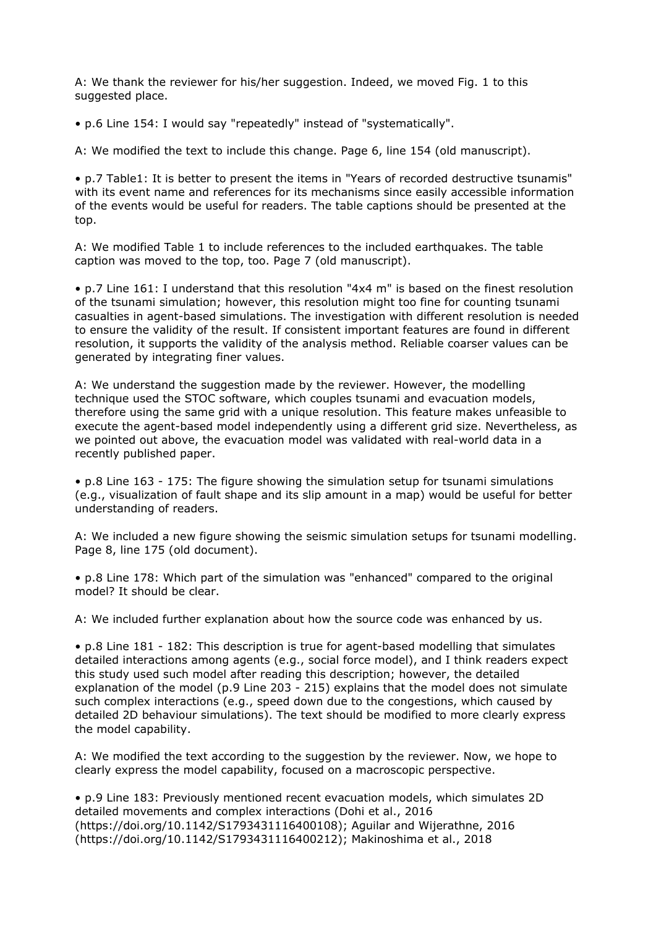A: We thank the reviewer for his/her suggestion. Indeed, we moved Fig. 1 to this suggested place.

• p.6 Line 154: I would say "repeatedly" instead of "systematically".

A: We modified the text to include this change. Page 6, line 154 (old manuscript).

• p.7 Table1: It is better to present the items in "Years of recorded destructive tsunamis" with its event name and references for its mechanisms since easily accessible information of the events would be useful for readers. The table captions should be presented at the top.

A: We modified Table 1 to include references to the included earthquakes. The table caption was moved to the top, too. Page 7 (old manuscript).

• p.7 Line 161: I understand that this resolution "4x4 m" is based on the finest resolution of the tsunami simulation; however, this resolution might too fine for counting tsunami casualties in agent-based simulations. The investigation with different resolution is needed to ensure the validity of the result. If consistent important features are found in different resolution, it supports the validity of the analysis method. Reliable coarser values can be generated by integrating finer values.

A: We understand the suggestion made by the reviewer. However, the modelling technique used the STOC software, which couples tsunami and evacuation models, therefore using the same grid with a unique resolution. This feature makes unfeasible to execute the agent-based model independently using a different grid size. Nevertheless, as we pointed out above, the evacuation model was validated with real-world data in a recently published paper.

• p.8 Line 163 - 175: The figure showing the simulation setup for tsunami simulations (e.g., visualization of fault shape and its slip amount in a map) would be useful for better understanding of readers.

A: We included a new figure showing the seismic simulation setups for tsunami modelling. Page 8, line 175 (old document).

• p.8 Line 178: Which part of the simulation was "enhanced" compared to the original model? It should be clear.

A: We included further explanation about how the source code was enhanced by us.

• p.8 Line 181 - 182: This description is true for agent-based modelling that simulates detailed interactions among agents (e.g., social force model), and I think readers expect this study used such model after reading this description; however, the detailed explanation of the model (p.9 Line 203 - 215) explains that the model does not simulate such complex interactions (e.g., speed down due to the congestions, which caused by detailed 2D behaviour simulations). The text should be modified to more clearly express the model capability.

A: We modified the text according to the suggestion by the reviewer. Now, we hope to clearly express the model capability, focused on a macroscopic perspective.

• p.9 Line 183: Previously mentioned recent evacuation models, which simulates 2D detailed movements and complex interactions (Dohi et al., 2016 (https://doi.org/10.1142/S1793431116400108); Aguilar and Wijerathne, 2016 (https://doi.org/10.1142/S1793431116400212); Makinoshima et al., 2018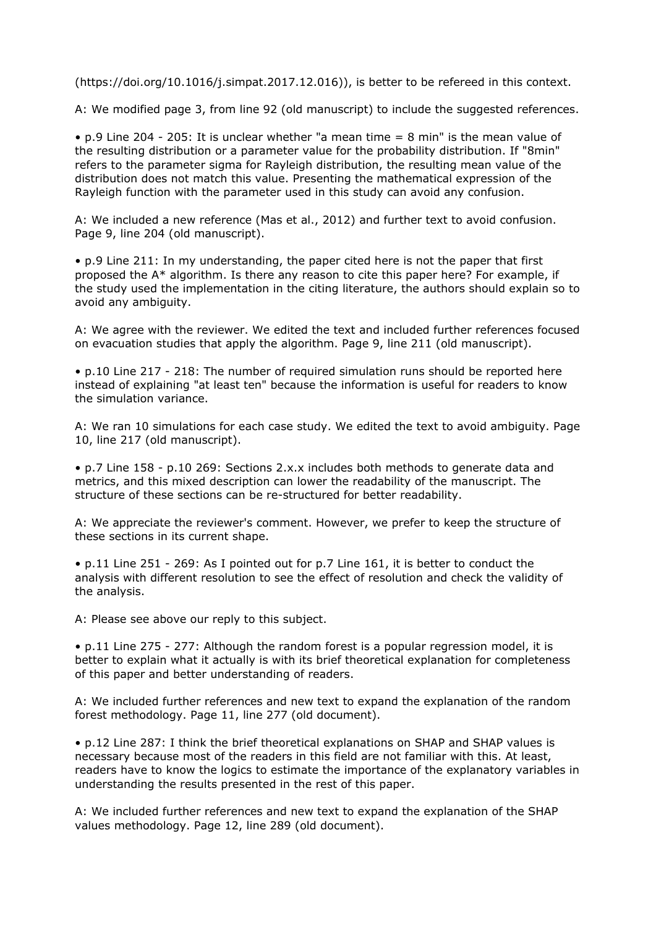(https://doi.org/10.1016/j.simpat.2017.12.016)), is better to be refereed in this context.

A: We modified page 3, from line 92 (old manuscript) to include the suggested references.

• p.9 Line 204 - 205: It is unclear whether "a mean time = 8 min" is the mean value of the resulting distribution or a parameter value for the probability distribution. If "8min" refers to the parameter sigma for Rayleigh distribution, the resulting mean value of the distribution does not match this value. Presenting the mathematical expression of the Rayleigh function with the parameter used in this study can avoid any confusion.

A: We included a new reference (Mas et al., 2012) and further text to avoid confusion. Page 9, line 204 (old manuscript).

• p.9 Line 211: In my understanding, the paper cited here is not the paper that first proposed the A\* algorithm. Is there any reason to cite this paper here? For example, if the study used the implementation in the citing literature, the authors should explain so to avoid any ambiguity.

A: We agree with the reviewer. We edited the text and included further references focused on evacuation studies that apply the algorithm. Page 9, line 211 (old manuscript).

• p.10 Line 217 - 218: The number of required simulation runs should be reported here instead of explaining "at least ten" because the information is useful for readers to know the simulation variance.

A: We ran 10 simulations for each case study. We edited the text to avoid ambiguity. Page 10, line 217 (old manuscript).

• p.7 Line 158 - p.10 269: Sections 2.x.x includes both methods to generate data and metrics, and this mixed description can lower the readability of the manuscript. The structure of these sections can be re-structured for better readability.

A: We appreciate the reviewer's comment. However, we prefer to keep the structure of these sections in its current shape.

• p.11 Line 251 - 269: As I pointed out for p.7 Line 161, it is better to conduct the analysis with different resolution to see the effect of resolution and check the validity of the analysis.

A: Please see above our reply to this subject.

• p.11 Line 275 - 277: Although the random forest is a popular regression model, it is better to explain what it actually is with its brief theoretical explanation for completeness of this paper and better understanding of readers.

A: We included further references and new text to expand the explanation of the random forest methodology. Page 11, line 277 (old document).

• p.12 Line 287: I think the brief theoretical explanations on SHAP and SHAP values is necessary because most of the readers in this field are not familiar with this. At least, readers have to know the logics to estimate the importance of the explanatory variables in understanding the results presented in the rest of this paper.

A: We included further references and new text to expand the explanation of the SHAP values methodology. Page 12, line 289 (old document).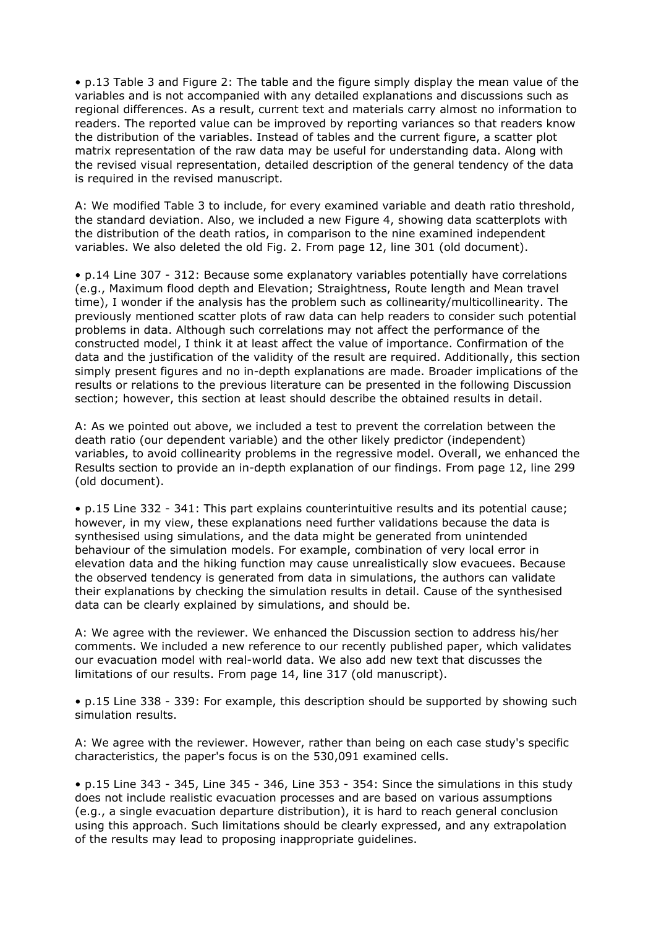• p.13 Table 3 and Figure 2: The table and the figure simply display the mean value of the variables and is not accompanied with any detailed explanations and discussions such as regional differences. As a result, current text and materials carry almost no information to readers. The reported value can be improved by reporting variances so that readers know the distribution of the variables. Instead of tables and the current figure, a scatter plot matrix representation of the raw data may be useful for understanding data. Along with the revised visual representation, detailed description of the general tendency of the data is required in the revised manuscript.

A: We modified Table 3 to include, for every examined variable and death ratio threshold, the standard deviation. Also, we included a new Figure 4, showing data scatterplots with the distribution of the death ratios, in comparison to the nine examined independent variables. We also deleted the old Fig. 2. From page 12, line 301 (old document).

• p.14 Line 307 - 312: Because some explanatory variables potentially have correlations (e.g., Maximum flood depth and Elevation; Straightness, Route length and Mean travel time), I wonder if the analysis has the problem such as collinearity/multicollinearity. The previously mentioned scatter plots of raw data can help readers to consider such potential problems in data. Although such correlations may not affect the performance of the constructed model, I think it at least affect the value of importance. Confirmation of the data and the justification of the validity of the result are required. Additionally, this section simply present figures and no in-depth explanations are made. Broader implications of the results or relations to the previous literature can be presented in the following Discussion section; however, this section at least should describe the obtained results in detail.

A: As we pointed out above, we included a test to prevent the correlation between the death ratio (our dependent variable) and the other likely predictor (independent) variables, to avoid collinearity problems in the regressive model. Overall, we enhanced the Results section to provide an in-depth explanation of our findings. From page 12, line 299 (old document).

• p.15 Line 332 - 341: This part explains counterintuitive results and its potential cause; however, in my view, these explanations need further validations because the data is synthesised using simulations, and the data might be generated from unintended behaviour of the simulation models. For example, combination of very local error in elevation data and the hiking function may cause unrealistically slow evacuees. Because the observed tendency is generated from data in simulations, the authors can validate their explanations by checking the simulation results in detail. Cause of the synthesised data can be clearly explained by simulations, and should be.

A: We agree with the reviewer. We enhanced the Discussion section to address his/her comments. We included a new reference to our recently published paper, which validates our evacuation model with real-world data. We also add new text that discusses the limitations of our results. From page 14, line 317 (old manuscript).

• p.15 Line 338 - 339: For example, this description should be supported by showing such simulation results.

A: We agree with the reviewer. However, rather than being on each case study's specific characteristics, the paper's focus is on the 530,091 examined cells.

• p.15 Line 343 - 345, Line 345 - 346, Line 353 - 354: Since the simulations in this study does not include realistic evacuation processes and are based on various assumptions (e.g., a single evacuation departure distribution), it is hard to reach general conclusion using this approach. Such limitations should be clearly expressed, and any extrapolation of the results may lead to proposing inappropriate guidelines.